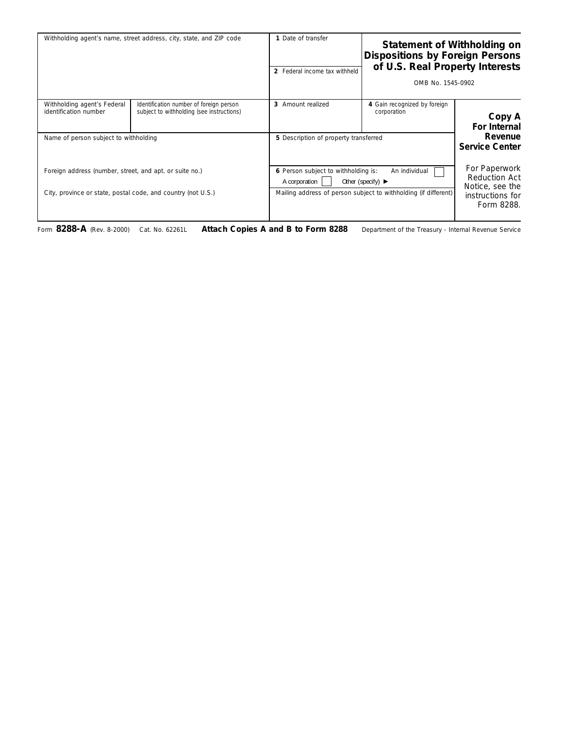| Withholding agent's name, street address, city, state, and ZIP code                                                     |                                                                                      | 1 Date of transfer<br>2 Federal income tax withheld                                                                                                                               | Statement of Withholding on<br><b>Dispositions by Foreign Persons</b><br>of U.S. Real Property Interests<br>OMB No. 1545-0902 |                                                                                            |
|-------------------------------------------------------------------------------------------------------------------------|--------------------------------------------------------------------------------------|-----------------------------------------------------------------------------------------------------------------------------------------------------------------------------------|-------------------------------------------------------------------------------------------------------------------------------|--------------------------------------------------------------------------------------------|
| Withholding agent's Federal<br>identification number                                                                    | Identification number of foreign person<br>subject to withholding (see instructions) | 3 Amount realized                                                                                                                                                                 | 4 Gain recognized by foreign<br>corporation                                                                                   | Copy A<br>For Internal                                                                     |
| Name of person subject to withholding                                                                                   |                                                                                      | 5 Description of property transferred                                                                                                                                             |                                                                                                                               | Revenue<br><b>Service Center</b>                                                           |
| Foreign address (number, street, and apt. or suite no.)<br>City, province or state, postal code, and country (not U.S.) |                                                                                      | 6 Person subject to withholding is:<br>An individual<br>A corporation<br>Other (specify) $\blacktriangleright$<br>Mailing address of person subject to withholding (if different) |                                                                                                                               | For Paperwork<br><b>Reduction Act</b><br>Notice, see the<br>instructions for<br>Form 8288. |

Form **8288-A** (Rev. 8-2000) Cat. No. 62261L **Attach Copies A and B to Form 8288** Department of the Treasury - Internal Revenue Service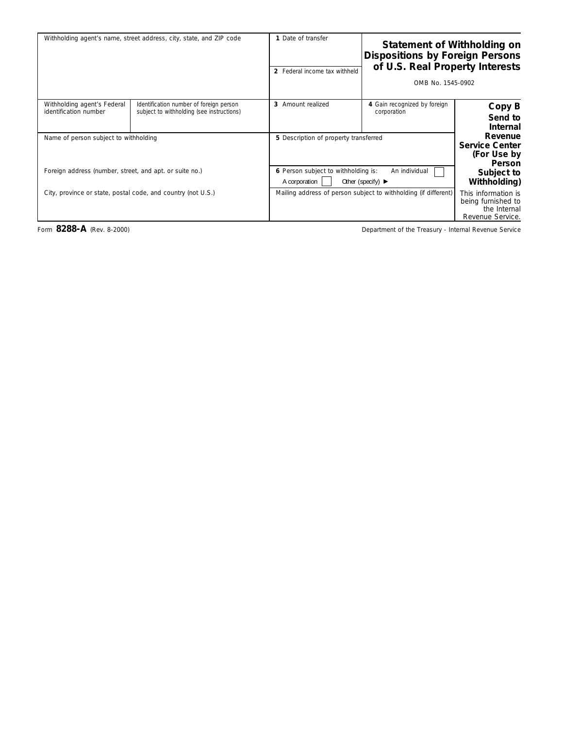|                                                                               | Statement of Withholding on<br><b>Dispositions by Foreign Persons</b><br>of U.S. Real Property Interests       | 1 Date of transfer            | Withholding agent's name, street address, city, state, and ZIP code                  |                                                      |
|-------------------------------------------------------------------------------|----------------------------------------------------------------------------------------------------------------|-------------------------------|--------------------------------------------------------------------------------------|------------------------------------------------------|
|                                                                               | OMB No. 1545-0902                                                                                              | 2 Federal income tax withheld |                                                                                      |                                                      |
| Copy B<br>Send to<br>Internal                                                 | 4 Gain recognized by foreign<br>corporation                                                                    | 3 Amount realized             | Identification number of foreign person<br>subject to withholding (see instructions) | Withholding agent's Federal<br>identification number |
| Revenue<br><b>Service Center</b><br>(For Use by<br>Person                     | 5 Description of property transferred                                                                          |                               | Name of person subject to withholding                                                |                                                      |
| Subject to<br>Withholding)                                                    | 6 Person subject to withholding is:<br>An individual<br>A corporation<br>Other (specify) $\blacktriangleright$ |                               | Foreign address (number, street, and apt. or suite no.)                              |                                                      |
| This information is<br>being furnished to<br>the Internal<br>Revenue Service. | Mailing address of person subject to withholding (if different)                                                |                               | City, province or state, postal code, and country (not U.S.)                         |                                                      |

Form 8288-A (Rev. 8-2000) **Department of the Treasury - Internal Revenue Service**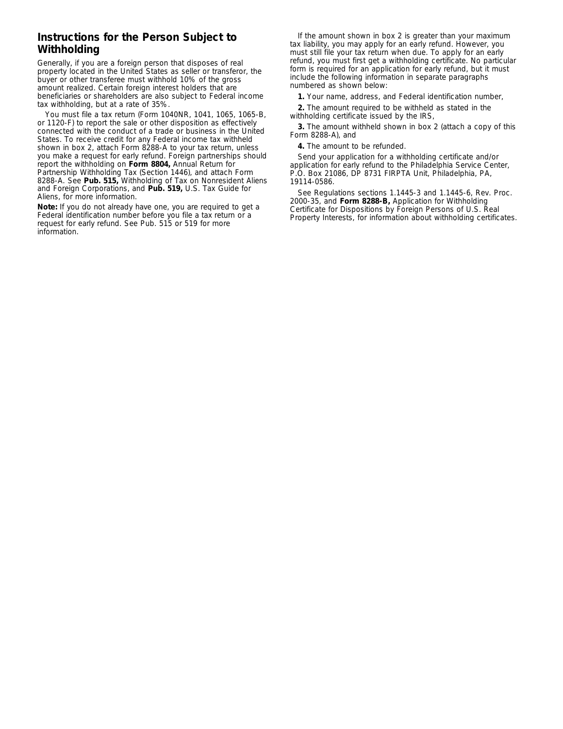## **Instructions for the Person Subject to Withholding**

Generally, if you are a foreign person that disposes of real property located in the United States as seller or transferor, the buyer or other transferee must withhold 10% of the gross amount realized. Certain foreign interest holders that are beneficiaries or shareholders are also subject to Federal income tax withholding, but at a rate of 35%.

You must file a tax return (Form 1040NR, 1041, 1065, 1065-B, or 1120-F) to report the sale or other disposition as effectively connected with the conduct of a trade or business in the United States. To receive credit for any Federal income tax withheld shown in box 2, attach Form 8288-A to your tax return, unless you make a request for early refund. Foreign partnerships should report the withholding on **Form 8804,** Annual Return for Partnership Withholding Tax (Section 1446), and attach Form 8288-A. See **Pub. 515,** Withholding of Tax on Nonresident Aliens and Foreign Corporations, and **Pub. 519,** U.S. Tax Guide for Aliens, for more information.

**Note:** *If you do not already have one, you are required to get a Federal identification number before you file a tax return or a request for early refund. See Pub. 515 or 519 for more information.*

If the amount shown in box 2 is greater than your maximum tax liability, you may apply for an early refund. However, you must still file your tax return when due. To apply for an early refund, you must first get a withholding certificate. No particular form is required for an application for early refund, but it must include the following information in separate paragraphs numbered as shown below:

**1.** Your name, address, and Federal identification number,

**2.** The amount required to be withheld as stated in the withholding certificate issued by the IRS,

**3.** The amount withheld shown in box 2 (attach a copy of this Form 8288-A), and

**4.** The amount to be refunded.

Send your application for a withholding certificate and/or application for early refund to the Philadelphia Service Center, P.O. Box 21086, DP 8731 FIRPTA Unit, Philadelphia, PA, 19114-0586.

See Regulations sections 1.1445-3 and 1.1445-6, Rev. Proc. 2000-35, and **Form 8288-B,** Application for Withholding Certificate for Dispositions by Foreign Persons of U.S. Real Property Interests, for information about withholding certificates.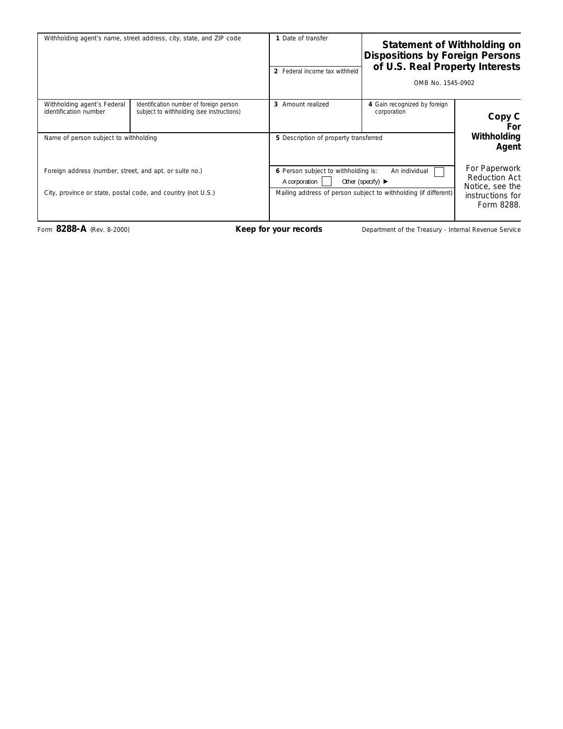| Withholding agent's name, street address, city, state, and ZIP code                                                     |                                                                                      | 1 Date of transfer<br>2 Federal income tax withheld                                                                                                                               |                                             | Statement of Withholding on<br><b>Dispositions by Foreign Persons</b><br>of U.S. Real Property Interests<br>OMB No. 1545-0902 |  |
|-------------------------------------------------------------------------------------------------------------------------|--------------------------------------------------------------------------------------|-----------------------------------------------------------------------------------------------------------------------------------------------------------------------------------|---------------------------------------------|-------------------------------------------------------------------------------------------------------------------------------|--|
| Withholding agent's Federal<br>identification number<br>Name of person subject to withholding                           | Identification number of foreign person<br>subject to withholding (see instructions) | 3 Amount realized<br>5 Description of property transferred                                                                                                                        | 4 Gain recognized by foreign<br>corporation | Copy C<br>For<br>Withholding<br>Agent                                                                                         |  |
| Foreign address (number, street, and apt. or suite no.)<br>City, province or state, postal code, and country (not U.S.) |                                                                                      | 6 Person subject to withholding is:<br>An individual<br>Other (specify) $\blacktriangleright$<br>A corporation<br>Mailing address of person subject to withholding (if different) |                                             | For Paperwork<br>Reduction Act<br>Notice, see the<br>instructions for<br>Form 8288.                                           |  |

Form 8288-A (Rev. 8-2000) **Keep for your records** Department of the Treasury - Internal Revenue Service